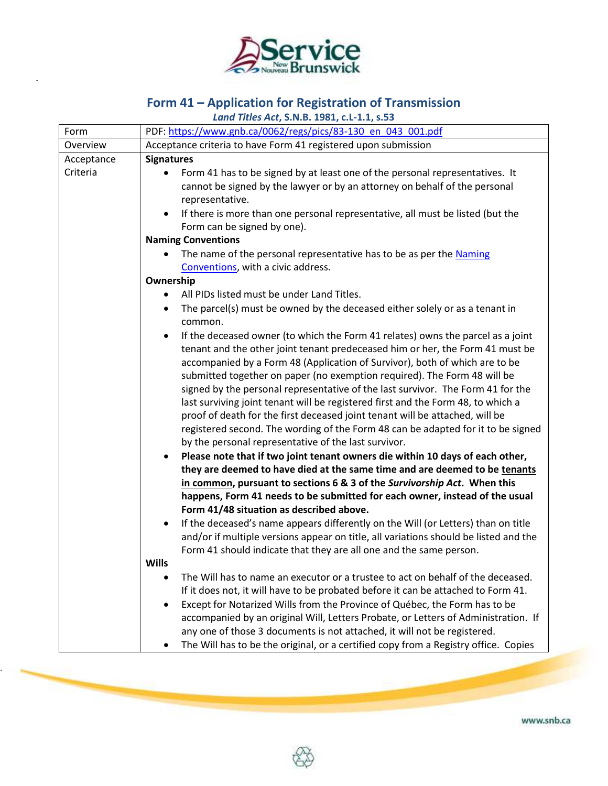

.

.

## **Form 41 – Application for Registration of Transmission**

*Land Titles Act***, S.N.B. 1981, c.L-1.1, s.53**

| Form       | PDF: https://www.gnb.ca/0062/regs/pics/83-130 en 043 001.pdf                                                                                                                                                                                                                                                                                                                                                                                                                                                                                                                                                                                                                                                                                                                                                                                                                                                            |
|------------|-------------------------------------------------------------------------------------------------------------------------------------------------------------------------------------------------------------------------------------------------------------------------------------------------------------------------------------------------------------------------------------------------------------------------------------------------------------------------------------------------------------------------------------------------------------------------------------------------------------------------------------------------------------------------------------------------------------------------------------------------------------------------------------------------------------------------------------------------------------------------------------------------------------------------|
| Overview   | Acceptance criteria to have Form 41 registered upon submission                                                                                                                                                                                                                                                                                                                                                                                                                                                                                                                                                                                                                                                                                                                                                                                                                                                          |
| Acceptance | <b>Signatures</b>                                                                                                                                                                                                                                                                                                                                                                                                                                                                                                                                                                                                                                                                                                                                                                                                                                                                                                       |
| Criteria   | Form 41 has to be signed by at least one of the personal representatives. It<br>$\bullet$<br>cannot be signed by the lawyer or by an attorney on behalf of the personal<br>representative.<br>If there is more than one personal representative, all must be listed (but the<br>$\bullet$                                                                                                                                                                                                                                                                                                                                                                                                                                                                                                                                                                                                                               |
|            | Form can be signed by one).                                                                                                                                                                                                                                                                                                                                                                                                                                                                                                                                                                                                                                                                                                                                                                                                                                                                                             |
|            | <b>Naming Conventions</b>                                                                                                                                                                                                                                                                                                                                                                                                                                                                                                                                                                                                                                                                                                                                                                                                                                                                                               |
|            | The name of the personal representative has to be as per the Naming<br>$\bullet$<br>Conventions, with a civic address.                                                                                                                                                                                                                                                                                                                                                                                                                                                                                                                                                                                                                                                                                                                                                                                                  |
|            | Ownership                                                                                                                                                                                                                                                                                                                                                                                                                                                                                                                                                                                                                                                                                                                                                                                                                                                                                                               |
|            | All PIDs listed must be under Land Titles.<br>$\bullet$                                                                                                                                                                                                                                                                                                                                                                                                                                                                                                                                                                                                                                                                                                                                                                                                                                                                 |
|            | The parcel(s) must be owned by the deceased either solely or as a tenant in<br>$\bullet$<br>common.                                                                                                                                                                                                                                                                                                                                                                                                                                                                                                                                                                                                                                                                                                                                                                                                                     |
|            | If the deceased owner (to which the Form 41 relates) owns the parcel as a joint<br>$\bullet$<br>tenant and the other joint tenant predeceased him or her, the Form 41 must be<br>accompanied by a Form 48 (Application of Survivor), both of which are to be<br>submitted together on paper (no exemption required). The Form 48 will be<br>signed by the personal representative of the last survivor. The Form 41 for the<br>last surviving joint tenant will be registered first and the Form 48, to which a<br>proof of death for the first deceased joint tenant will be attached, will be<br>registered second. The wording of the Form 48 can be adapted for it to be signed<br>by the personal representative of the last survivor.<br>Please note that if two joint tenant owners die within 10 days of each other,<br>$\bullet$<br>they are deemed to have died at the same time and are deemed to be tenants |
|            | in common, pursuant to sections 6 & 3 of the Survivorship Act. When this                                                                                                                                                                                                                                                                                                                                                                                                                                                                                                                                                                                                                                                                                                                                                                                                                                                |
|            | happens, Form 41 needs to be submitted for each owner, instead of the usual                                                                                                                                                                                                                                                                                                                                                                                                                                                                                                                                                                                                                                                                                                                                                                                                                                             |
|            | Form 41/48 situation as described above.                                                                                                                                                                                                                                                                                                                                                                                                                                                                                                                                                                                                                                                                                                                                                                                                                                                                                |
|            | If the deceased's name appears differently on the Will (or Letters) than on title<br>$\bullet$                                                                                                                                                                                                                                                                                                                                                                                                                                                                                                                                                                                                                                                                                                                                                                                                                          |
|            | and/or if multiple versions appear on title, all variations should be listed and the                                                                                                                                                                                                                                                                                                                                                                                                                                                                                                                                                                                                                                                                                                                                                                                                                                    |
|            | Form 41 should indicate that they are all one and the same person.                                                                                                                                                                                                                                                                                                                                                                                                                                                                                                                                                                                                                                                                                                                                                                                                                                                      |
|            | <b>Wills</b>                                                                                                                                                                                                                                                                                                                                                                                                                                                                                                                                                                                                                                                                                                                                                                                                                                                                                                            |
|            | The Will has to name an executor or a trustee to act on behalf of the deceased.                                                                                                                                                                                                                                                                                                                                                                                                                                                                                                                                                                                                                                                                                                                                                                                                                                         |
|            | If it does not, it will have to be probated before it can be attached to Form 41.                                                                                                                                                                                                                                                                                                                                                                                                                                                                                                                                                                                                                                                                                                                                                                                                                                       |
|            | Except for Notarized Wills from the Province of Québec, the Form has to be                                                                                                                                                                                                                                                                                                                                                                                                                                                                                                                                                                                                                                                                                                                                                                                                                                              |
|            | accompanied by an original Will, Letters Probate, or Letters of Administration. If<br>any one of those 3 documents is not attached, it will not be registered.                                                                                                                                                                                                                                                                                                                                                                                                                                                                                                                                                                                                                                                                                                                                                          |
|            | The Will has to be the original, or a certified copy from a Registry office. Copies<br>٠                                                                                                                                                                                                                                                                                                                                                                                                                                                                                                                                                                                                                                                                                                                                                                                                                                |